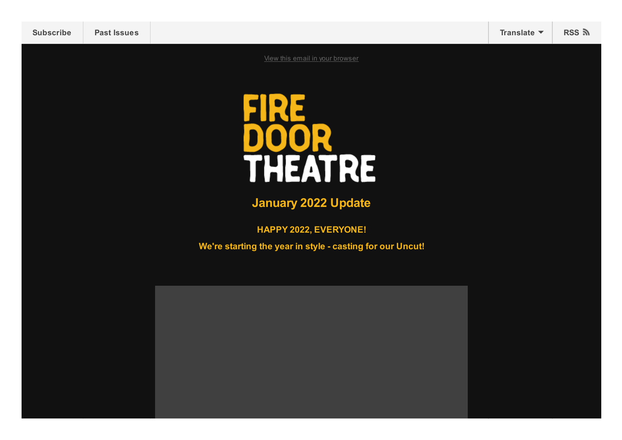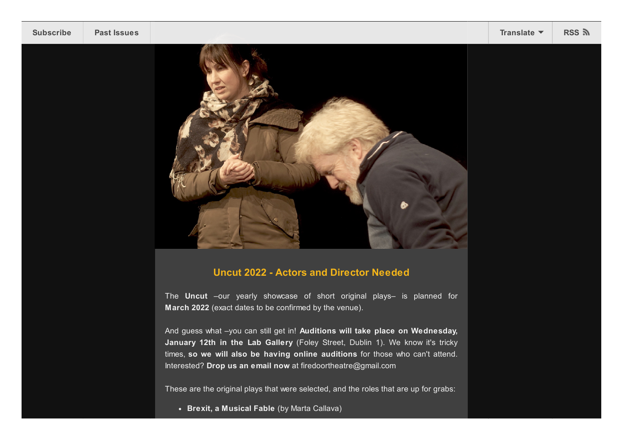

## **Uncut 2022 - Actors and Director Needed**

The **Uncut** –our yearly showcase of short original plays– is planned for **March 2022** (exact dates to be confirmed by the venue).

And guess what –you can still get in! **Auditions will take place on Wednesday, January 12th in the Lab Gallery** (Foley Street, Dublin 1). We know it's tricky times, **so we will also be having online auditions** for those who can't attend. Interested? **Drop us an email now** at firedoortheatre@gmail.com

These are the original plays that were selected, and the roles that are up for grabs:

**Brexit, a Musical Fable** (by Marta Callava)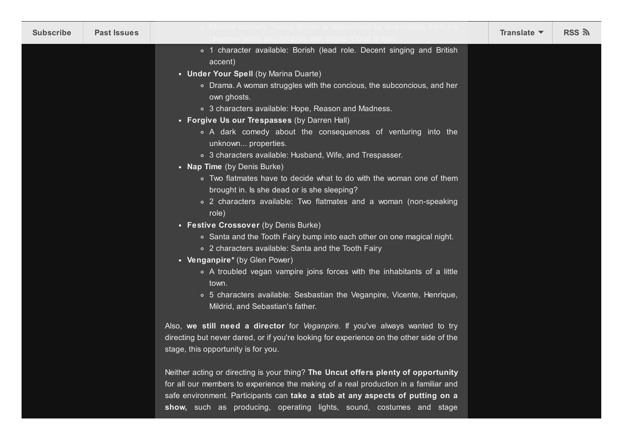| <b>Subscribe</b> | <b>Past Issues</b> | Musical comedy. Young Borish is determined to emancipate from hi                                                                                                                                                                                                                                                                                                                                                                                                                                                                                                                                                                                                                                                                                                                                                                                                                                                                                                                                                                                                                                                               | Translate $\blacktriangledown$ | RSS ଲ |
|------------------|--------------------|--------------------------------------------------------------------------------------------------------------------------------------------------------------------------------------------------------------------------------------------------------------------------------------------------------------------------------------------------------------------------------------------------------------------------------------------------------------------------------------------------------------------------------------------------------------------------------------------------------------------------------------------------------------------------------------------------------------------------------------------------------------------------------------------------------------------------------------------------------------------------------------------------------------------------------------------------------------------------------------------------------------------------------------------------------------------------------------------------------------------------------|--------------------------------|-------|
|                  |                    | o 1 character available: Borish (lead role. Decent singing and British<br>accent)<br>• Under Your Spell (by Marina Duarte)<br>• Drama. A woman struggles with the concious, the subconcious, and her<br>own ghosts.<br>○ 3 characters available: Hope, Reason and Madness.<br>• Forgive Us our Trespasses (by Darren Hall)<br>• A dark comedy about the consequences of venturing into the<br>unknown properties.<br>○ 3 characters available: Husband, Wife, and Trespasser.<br>• Nap Time (by Denis Burke)<br>• Two flatmates have to decide what to do with the woman one of them<br>brought in. Is she dead or is she sleeping?<br>• 2 characters available: Two flatmates and a woman (non-speaking<br>role)<br>• Festive Crossover (by Denis Burke)<br>• Santa and the Tooth Fairy bump into each other on one magical night.<br>○ 2 characters available: Santa and the Tooth Fairy<br>• Venganpire* (by Glen Power)<br>• A troubled vegan vampire joins forces with the inhabitants of a little<br>town.<br>• 5 characters available: Sesbastian the Veganpire, Vicente, Henrique,<br>Mildrid, and Sebastian's father. |                                |       |
|                  |                    | Also, we still need a director for Veganpire. If you've always wanted to try<br>directing but never dared, or if you're looking for experience on the other side of the<br>stage, this opportunity is for you.<br>Neither acting or directing is your thing? The Uncut offers plenty of opportunity                                                                                                                                                                                                                                                                                                                                                                                                                                                                                                                                                                                                                                                                                                                                                                                                                            |                                |       |
|                  |                    | for all our members to experience the making of a real production in a familiar and<br>safe environment. Participants can take a stab at any aspects of putting on a<br>show, such as producing, operating lights, sound, costumes and stage                                                                                                                                                                                                                                                                                                                                                                                                                                                                                                                                                                                                                                                                                                                                                                                                                                                                                   |                                |       |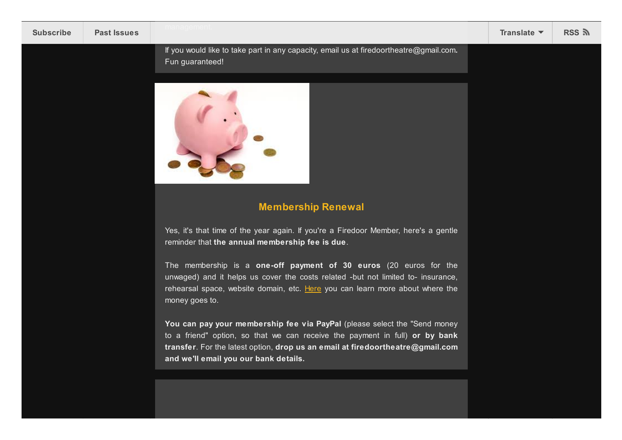If you would like to take part in any capacity, email us at firedoortheatre@gmail.com**.** Fun guaranteed!



## **Membership Renewal**

Yes, it's that time of the year again. If you're a Firedoor Member, here's a gentle reminder that **the annual membership fee is due**.

The membership is a **one-off payment of 30 euros** (20 euros for the unwaged) and it helps us cover the costs related -but not limited to- insurance, rehearsal space, website domain, etc. [Here](https://firedoortheatre.com/membership/) you can learn more about where the money goes to.

**You can pay your membership fee via PayPal** (please select the "Send money to a friend" option, so that we can receive the payment in full) **or by bank transfer**. For the latest option, **drop us an email at firedoortheatre@gmail.com and we'll email you our bank details.**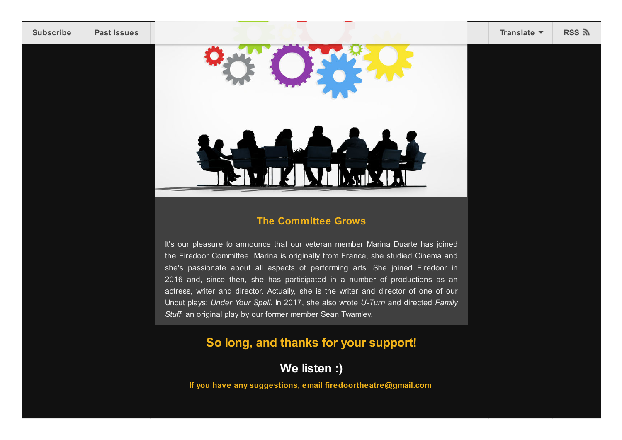

## **The Committee Grows**

It's our pleasure to announce that our veteran member Marina Duarte has joined the Firedoor Committee. Marina is originally from France, she studied Cinema and she's passionate about all aspects of performing arts. She joined Firedoor in 2016 and, since then, she has participated in a number of productions as an actress, writer and director. Actually, she is the writer and director of one of our Uncut plays: *Under Your Spell*. In 2017, she also wrote *U-Turn* and directed *Family Stuff*, an original play by our former member Sean Twamley.

## **So long, and thanks for your support!**

**We listen :)**

**If you have any suggestions, email firedoortheatre@gmail.com**